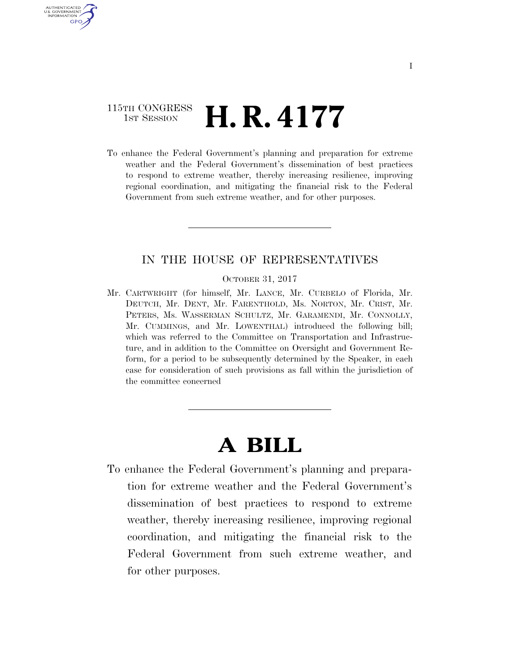# 115TH CONGRESS  $\frac{1}{151}$  Session **H. R. 4177**

AUTHENTICATED U.S. GOVERNMENT **GPO** 

> To enhance the Federal Government's planning and preparation for extreme weather and the Federal Government's dissemination of best practices to respond to extreme weather, thereby increasing resilience, improving regional coordination, and mitigating the financial risk to the Federal Government from such extreme weather, and for other purposes.

# IN THE HOUSE OF REPRESENTATIVES

#### OCTOBER 31, 2017

Mr. CARTWRIGHT (for himself, Mr. LANCE, Mr. CURBELO of Florida, Mr. DEUTCH, Mr. DENT, Mr. FARENTHOLD, Ms. NORTON, Mr. CRIST, Mr. PETERS, Ms. WASSERMAN SCHULTZ, Mr. GARAMENDI, Mr. CONNOLLY, Mr. CUMMINGS, and Mr. LOWENTHAL) introduced the following bill; which was referred to the Committee on Transportation and Infrastructure, and in addition to the Committee on Oversight and Government Reform, for a period to be subsequently determined by the Speaker, in each case for consideration of such provisions as fall within the jurisdiction of the committee concerned

# **A BILL**

To enhance the Federal Government's planning and preparation for extreme weather and the Federal Government's dissemination of best practices to respond to extreme weather, thereby increasing resilience, improving regional coordination, and mitigating the financial risk to the Federal Government from such extreme weather, and for other purposes.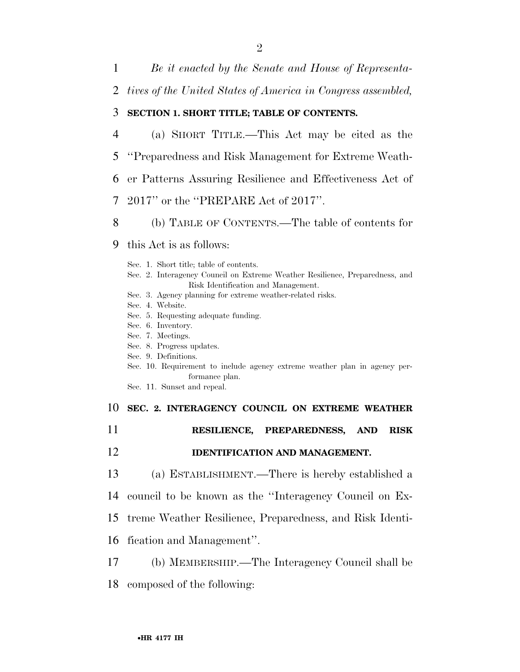1 *Be it enacted by the Senate and House of Representa-*

2 *tives of the United States of America in Congress assembled,* 

# 3 **SECTION 1. SHORT TITLE; TABLE OF CONTENTS.**

 (a) SHORT TITLE.—This Act may be cited as the ''Preparedness and Risk Management for Extreme Weath- er Patterns Assuring Resilience and Effectiveness Act of 2017'' or the ''PREPARE Act of 2017''.

8 (b) TABLE OF CONTENTS.—The table of contents for

- 9 this Act is as follows:
	- Sec. 1. Short title; table of contents. Sec. 2. Interagency Council on Extreme Weather Resilience, Preparedness, and Risk Identification and Management. Sec. 3. Agency planning for extreme weather-related risks. Sec. 4. Website.
	- Sec. 5. Requesting adequate funding.
	- Sec. 6. Inventory.
	- Sec. 7. Meetings.
	- Sec. 8. Progress updates.
	- Sec. 9. Definitions.
	- Sec. 10. Requirement to include agency extreme weather plan in agency performance plan.
	- Sec. 11. Sunset and repeal.

10 **SEC. 2. INTERAGENCY COUNCIL ON EXTREME WEATHER** 

- 11 **RESILIENCE, PREPAREDNESS, AND RISK**
- 12 **IDENTIFICATION AND MANAGEMENT.**
- 13 (a) ESTABLISHMENT.—There is hereby established a
- 14 council to be known as the ''Interagency Council on Ex-
- 15 treme Weather Resilience, Preparedness, and Risk Identi-
- 16 fication and Management''.
- 17 (b) MEMBERSHIP.—The Interagency Council shall be
- 18 composed of the following: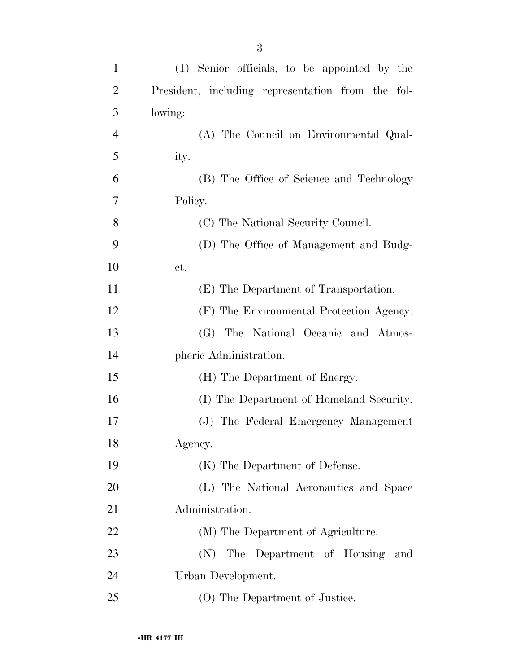| $\mathbf{1}$   | (1) Senior officials, to be appointed by the      |
|----------------|---------------------------------------------------|
| $\overline{2}$ | President, including representation from the fol- |
| 3              | lowing:                                           |
| $\overline{4}$ | (A) The Council on Environmental Qual-            |
| 5              | ity.                                              |
| 6              | (B) The Office of Science and Technology          |
| 7              | Policy.                                           |
| 8              | (C) The National Security Council.                |
| 9              | (D) The Office of Management and Budg-            |
| 10             | et.                                               |
| 11             | (E) The Department of Transportation.             |
| 12             | (F) The Environmental Protection Agency.          |
| 13             | (G) The National Oceanic and Atmos-               |
| 14             | pheric Administration.                            |
| 15             | (H) The Department of Energy.                     |
| 16             | (I) The Department of Homeland Security.          |
| 17             | (J) The Federal Emergency Management              |
| 18             | Agency.                                           |
| 19             | (K) The Department of Defense.                    |
| 20             | (L) The National Aeronautics and Space            |
| 21             | Administration.                                   |
| 22             | (M) The Department of Agriculture.                |
| 23             | The Department of Housing<br>(N)<br>and           |
| 24             | Urban Development.                                |
| 25             | (O) The Department of Justice.                    |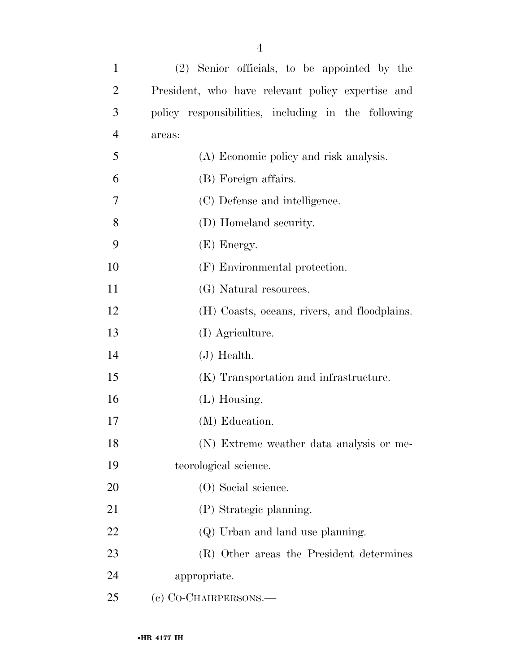| $\mathbf{1}$   | (2) Senior officials, to be appointed by the        |
|----------------|-----------------------------------------------------|
| $\overline{2}$ | President, who have relevant policy expertise and   |
| 3              | policy responsibilities, including in the following |
| $\overline{4}$ | areas:                                              |
| 5              | (A) Economic policy and risk analysis.              |
| 6              | (B) Foreign affairs.                                |
| 7              | (C) Defense and intelligence.                       |
| 8              | (D) Homeland security.                              |
| 9              | (E) Energy.                                         |
| 10             | (F) Environmental protection.                       |
| 11             | (G) Natural resources.                              |
| 12             | (H) Coasts, oceans, rivers, and floodplains.        |
| 13             | (I) Agriculture.                                    |
| 14             | $(J)$ Health.                                       |
| 15             | (K) Transportation and infrastructure.              |
| 16             | $(L)$ Housing.                                      |
| 17             | (M) Education.                                      |
| 18             | (N) Extreme weather data analysis or me-            |
| 19             | teorological science.                               |
| 20             | (O) Social science.                                 |
| 21             | (P) Strategic planning.                             |
| 22             | (Q) Urban and land use planning.                    |
| 23             | (R) Other areas the President determines            |
| 24             | appropriate.                                        |
| 25             | (c) CO-CHAIRPERSONS.—                               |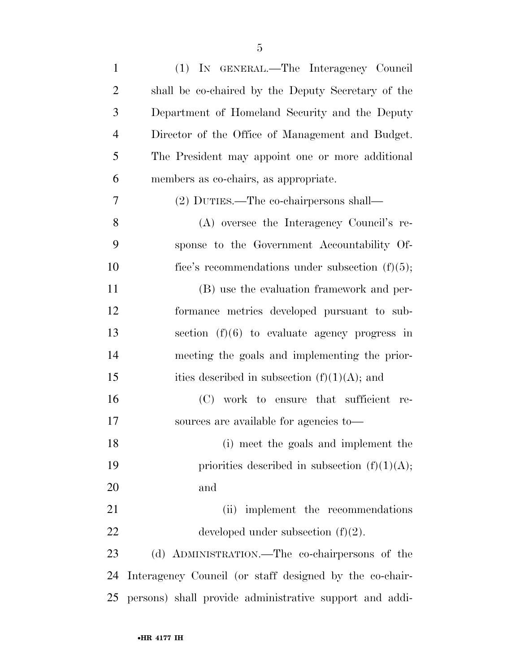| $\mathbf{1}$   | (1) IN GENERAL.—The Interagency Council                 |
|----------------|---------------------------------------------------------|
| $\overline{2}$ | shall be co-chaired by the Deputy Secretary of the      |
| 3              | Department of Homeland Security and the Deputy          |
| $\overline{4}$ | Director of the Office of Management and Budget.        |
| 5              | The President may appoint one or more additional        |
| 6              | members as co-chairs, as appropriate.                   |
| 7              | (2) DUTIES.—The co-chairpersons shall—                  |
| 8              | (A) oversee the Interagency Council's re-               |
| 9              | sponse to the Government Accountability Of-             |
| 10             | fice's recommendations under subsection $(f)(5)$ ;      |
| 11             | (B) use the evaluation framework and per-               |
| 12             | formance metrics developed pursuant to sub-             |
| 13             | section $(f)(6)$ to evaluate agency progress in         |
| 14             | meeting the goals and implementing the prior-           |
| 15             | ities described in subsection $(f)(1)(A)$ ; and         |
| 16             | (C) work to ensure that sufficient re-                  |
| 17             | sources are available for agencies to-                  |
| 18             | (i) meet the goals and implement the                    |
| 19             | priorities described in subsection $(f)(1)(A);$         |
| 20             | and                                                     |
| 21             | (ii) implement the recommendations                      |
| 22             | developed under subsection $(f)(2)$ .                   |
| 23             | (d) ADMINISTRATION.—The co-chairpersons of the          |
| 24             | Interagency Council (or staff designed by the co-chair- |
| 25             | persons) shall provide administrative support and addi- |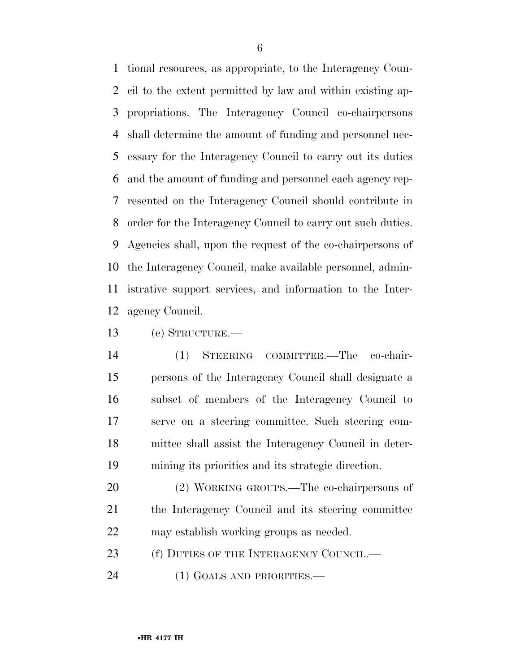tional resources, as appropriate, to the Interagency Coun- cil to the extent permitted by law and within existing ap- propriations. The Interagency Council co-chairpersons shall determine the amount of funding and personnel nec- essary for the Interagency Council to carry out its duties and the amount of funding and personnel each agency rep- resented on the Interagency Council should contribute in order for the Interagency Council to carry out such duties. Agencies shall, upon the request of the co-chairpersons of the Interagency Council, make available personnel, admin- istrative support services, and information to the Inter-agency Council.

(e) STRUCTURE.—

 (1) STEERING COMMITTEE.—The co-chair- persons of the Interagency Council shall designate a subset of members of the Interagency Council to serve on a steering committee. Such steering com- mittee shall assist the Interagency Council in deter-mining its priorities and its strategic direction.

 (2) WORKING GROUPS.—The co-chairpersons of 21 the Interagency Council and its steering committee may establish working groups as needed.

23 (f) DUTIES OF THE INTERAGENCY COUNCIL.—

(1) GOALS AND PRIORITIES.—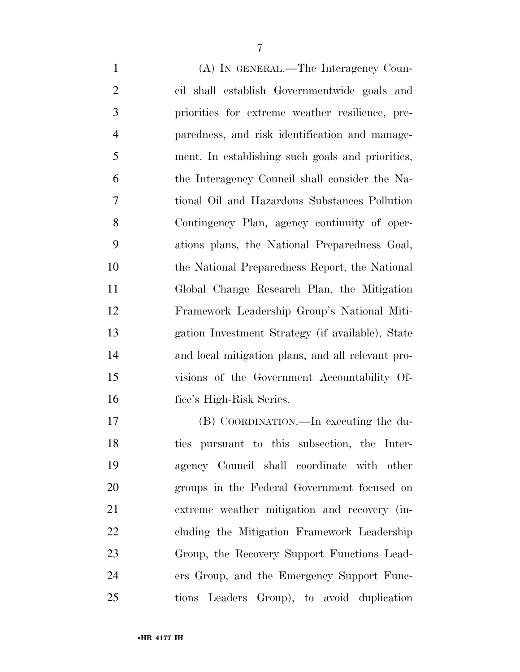(A) IN GENERAL.—The Interagency Coun- cil shall establish Governmentwide goals and priorities for extreme weather resilience, pre- paredness, and risk identification and manage- ment. In establishing such goals and priorities, the Interagency Council shall consider the Na- tional Oil and Hazardous Substances Pollution Contingency Plan, agency continuity of oper- ations plans, the National Preparedness Goal, the National Preparedness Report, the National Global Change Research Plan, the Mitigation Framework Leadership Group's National Miti- gation Investment Strategy (if available), State and local mitigation plans, and all relevant pro- visions of the Government Accountability Of-fice's High-Risk Series.

 (B) COORDINATION.—In executing the du- ties pursuant to this subsection, the Inter- agency Council shall coordinate with other groups in the Federal Government focused on extreme weather mitigation and recovery (in- cluding the Mitigation Framework Leadership Group, the Recovery Support Functions Lead- ers Group, and the Emergency Support Func-tions Leaders Group), to avoid duplication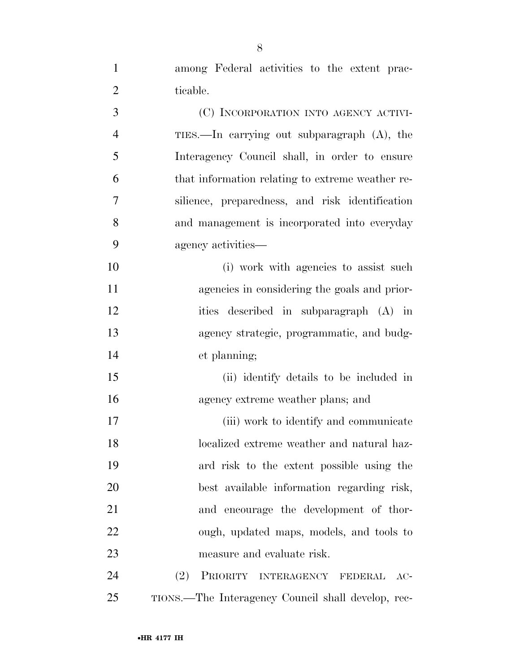among Federal activities to the extent prac-2 ticable.

 (C) INCORPORATION INTO AGENCY ACTIVI- TIES.—In carrying out subparagraph (A), the Interagency Council shall, in order to ensure that information relating to extreme weather re- silience, preparedness, and risk identification and management is incorporated into everyday agency activities— 10 (i) work with agencies to assist such agencies in considering the goals and prior- ities described in subparagraph (A) in agency strategic, programmatic, and budg- et planning; (ii) identify details to be included in agency extreme weather plans; and 17 (iii) work to identify and communicate localized extreme weather and natural haz- ard risk to the extent possible using the best available information regarding risk, and encourage the development of thor- ough, updated maps, models, and tools to measure and evaluate risk. (2) PRIORITY INTERAGENCY FEDERAL AC-

TIONS.—The Interagency Council shall develop, rec-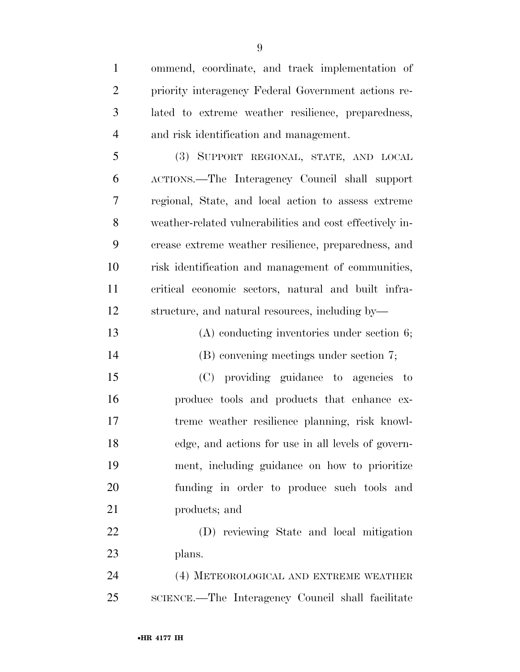| $\mathbf{1}$   | ommend, coordinate, and track implementation of          |
|----------------|----------------------------------------------------------|
| $\overline{2}$ | priority interagency Federal Government actions re-      |
| 3              | lated to extreme weather resilience, preparedness,       |
| $\overline{4}$ | and risk identification and management.                  |
| 5              | (3) SUPPORT REGIONAL, STATE, AND LOCAL                   |
| 6              | ACTIONS.—The Interagency Council shall support           |
| 7              | regional, State, and local action to assess extreme      |
| 8              | weather-related vulnerabilities and cost effectively in- |
| 9              | crease extreme weather resilience, preparedness, and     |
| 10             | risk identification and management of communities,       |
| 11             | critical economic sectors, natural and built infra-      |
| 12             | structure, and natural resources, including by—          |
| 13             | $(A)$ conducting inventories under section 6;            |
| 14             | (B) convening meetings under section 7;                  |
| 15             | (C) providing guidance to agencies to                    |
| 16             | produce tools and products that enhance ex-              |
| 17             | treme weather resilience planning, risk knowl-           |
| 18             | edge, and actions for use in all levels of govern-       |
| 19             | ment, including guidance on how to prioritize            |
| 20             | funding in order to produce such tools and               |
| 21             | products; and                                            |
| 22             | (D) reviewing State and local mitigation                 |
| 23             | plans.                                                   |
| 24             | (4) METEOROLOGICAL AND EXTREME WEATHER                   |
| 25             | SCIENCE.—The Interagency Council shall facilitate        |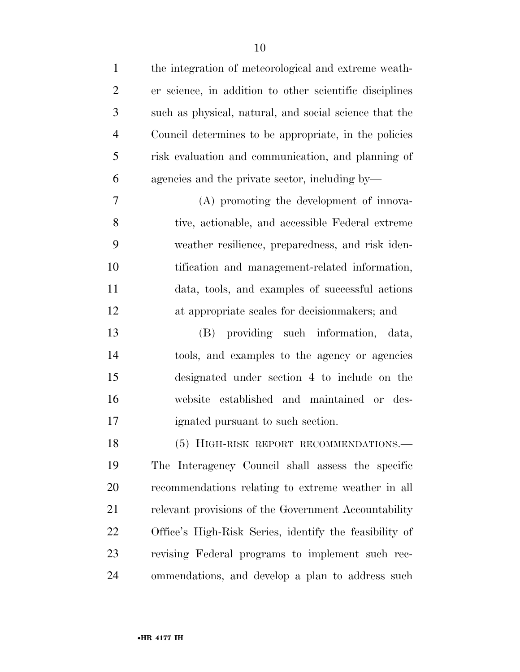| $\mathbf{1}$   | the integration of meteorological and extreme weath-    |
|----------------|---------------------------------------------------------|
| $\overline{2}$ | er science, in addition to other scientific disciplines |
| 3              | such as physical, natural, and social science that the  |
| $\overline{4}$ | Council determines to be appropriate, in the policies   |
| 5              | risk evaluation and communication, and planning of      |
| 6              | agencies and the private sector, including by—          |
| 7              | (A) promoting the development of innova-                |
| 8              | tive, actionable, and accessible Federal extreme        |
| 9              | weather resilience, preparedness, and risk iden-        |
| 10             | tification and management-related information,          |
| 11             | data, tools, and examples of successful actions         |
| 12             | at appropriate scales for decision makers; and          |
| 13             | (B) providing such information, data,                   |
| 14             | tools, and examples to the agency or agencies           |
| 15             | designated under section 4 to include on the            |
| 16             | established and maintained or des-<br>website           |
| 17             | ignated pursuant to such section.                       |
| 18             | (5) HIGH-RISK REPORT RECOMMENDATIONS.                   |
| 19             | The Interagency Council shall assess the specific       |
| 20             | recommendations relating to extreme weather in all      |
| 21             | relevant provisions of the Government Accountability    |
| 22             | Office's High-Risk Series, identify the feasibility of  |
| 23             | revising Federal programs to implement such rec-        |
| 24             | ommendations, and develop a plan to address such        |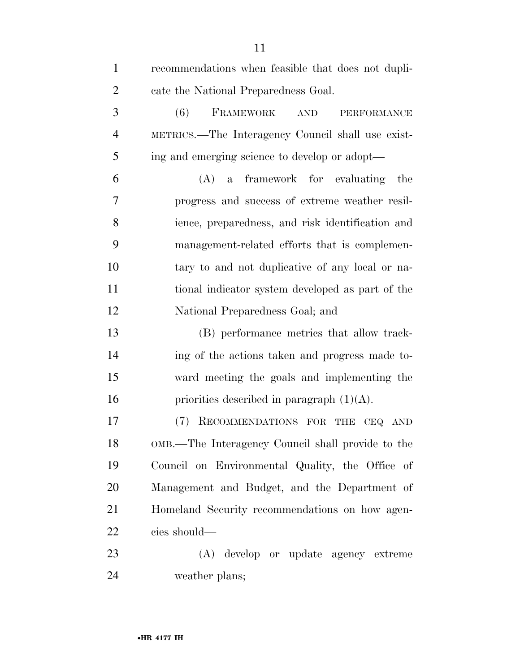| $\mathbf{1}$   | recommendations when feasible that does not dupli-         |
|----------------|------------------------------------------------------------|
| $\overline{2}$ | cate the National Preparedness Goal.                       |
| 3              | FRAMEWORK<br>(6)<br>$\operatorname{AND}$<br>PERFORMANCE    |
| $\overline{4}$ | METRICS.—The Interagency Council shall use exist-          |
| 5              | ing and emerging science to develop or adopt—              |
| 6              | (A) a framework for evaluating the                         |
| 7              | progress and success of extreme weather resil-             |
| 8              | ience, preparedness, and risk identification and           |
| 9              | management-related efforts that is complemen-              |
| 10             | tary to and not duplicative of any local or na-            |
| 11             | tional indicator system developed as part of the           |
| 12             | National Preparedness Goal; and                            |
| 13             | (B) performance metrics that allow track-                  |
| 14             | ing of the actions taken and progress made to-             |
| 15             | ward meeting the goals and implementing the                |
| 16             | priorities described in paragraph $(1)(A)$ .               |
| 17             | (7)<br>RECOMMENDATIONS FOR THE<br><b>CEQ</b><br><b>AND</b> |
| 18             | OMB.—The Interagency Council shall provide to the          |
| 19             | Council on Environmental Quality, the Office of            |
| 20             | Management and Budget, and the Department of               |
| 21             | Homeland Security recommendations on how agen-             |
| 22             | cies should—                                               |
| 23             | (A) develop or update agency extreme                       |
| 24             | weather plans;                                             |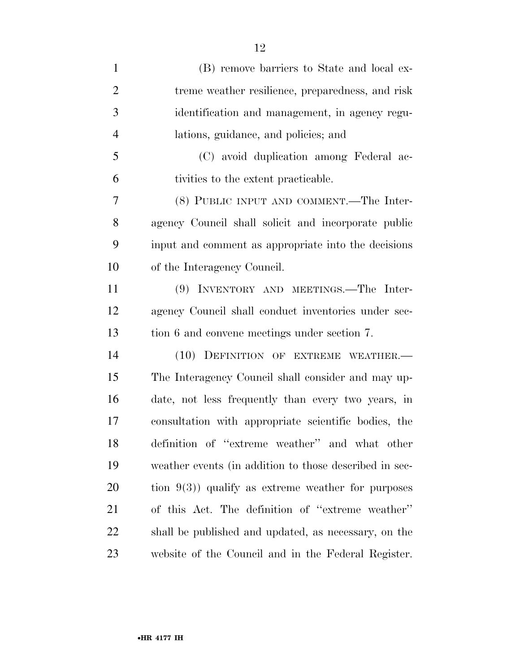| $\mathbf{1}$   | (B) remove barriers to State and local ex-             |
|----------------|--------------------------------------------------------|
| $\overline{2}$ | treme weather resilience, preparedness, and risk       |
| 3              | identification and management, in agency regu-         |
| $\overline{4}$ | lations, guidance, and policies; and                   |
| 5              | (C) avoid duplication among Federal ac-                |
| 6              | tivities to the extent practicable.                    |
| 7              | (8) PUBLIC INPUT AND COMMENT.—The Inter-               |
| 8              | agency Council shall solicit and incorporate public    |
| 9              | input and comment as appropriate into the decisions    |
| 10             | of the Interagency Council.                            |
| 11             | (9) INVENTORY AND MEETINGS.—The Inter-                 |
| 12             | agency Council shall conduct inventories under sec-    |
| 13             | tion 6 and convene meetings under section 7.           |
| 14             | (10) DEFINITION OF EXTREME WEATHER.                    |
| 15             | The Interagency Council shall consider and may up-     |
| 16             | date, not less frequently than every two years, in     |
| 17             | consultation with appropriate scientific bodies, the   |
| 18             | definition of "extreme weather" and what other         |
| 19             | weather events (in addition to those described in sec- |
| 20             | tion $9(3)$ ) qualify as extreme weather for purposes  |
| 21             | of this Act. The definition of "extreme weather"       |
| 22             | shall be published and updated, as necessary, on the   |
| 23             | website of the Council and in the Federal Register.    |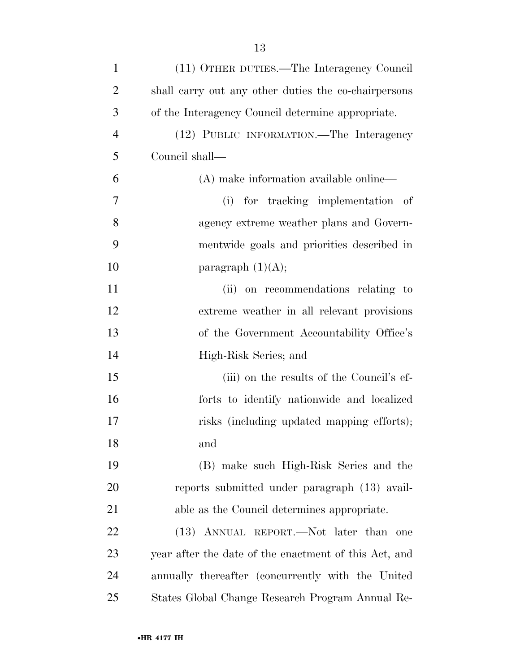| $\mathbf{1}$   | (11) OTHER DUTIES.—The Interagency Council            |
|----------------|-------------------------------------------------------|
| $\overline{2}$ | shall carry out any other duties the co-chairpersons  |
| 3              | of the Interagency Council determine appropriate.     |
| $\overline{4}$ | (12) PUBLIC INFORMATION.—The Interagency              |
| 5              | Council shall—                                        |
| 6              | (A) make information available online—                |
| 7              | (i) for tracking implementation of                    |
| 8              | agency extreme weather plans and Govern-              |
| 9              | mentwide goals and priorities described in            |
| 10             | paragraph $(1)(A);$                                   |
| 11             | (ii) on recommendations relating to                   |
| 12             | extreme weather in all relevant provisions            |
| 13             | of the Government Accountability Office's             |
| 14             | High-Risk Series; and                                 |
| 15             | (iii) on the results of the Council's ef-             |
| 16             | forts to identify nationwide and localized            |
| 17             | risks (including updated mapping efforts);            |
| 18             | and                                                   |
| 19             | (B) make such High-Risk Series and the                |
| 20             | reports submitted under paragraph (13) avail-         |
| 21             | able as the Council determines appropriate.           |
| 22             | (13) ANNUAL REPORT.—Not later than<br>one             |
| 23             | year after the date of the enactment of this Act, and |
| 24             | annually thereafter (concurrently with the United     |
| 25             | States Global Change Research Program Annual Re-      |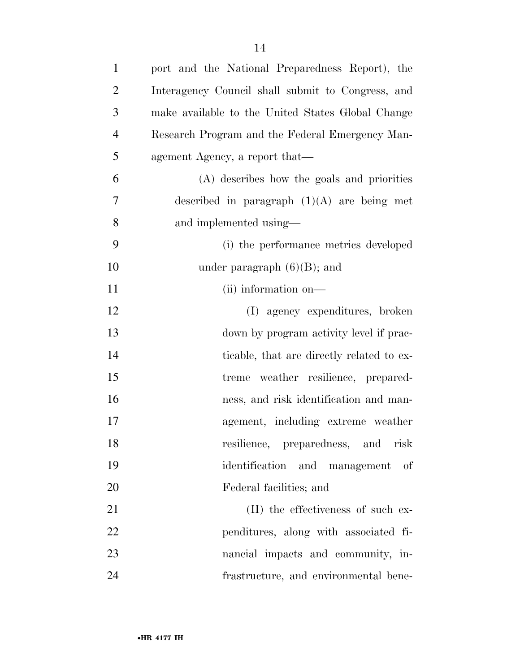| $\mathbf{1}$   | port and the National Preparedness Report), the   |
|----------------|---------------------------------------------------|
| $\overline{2}$ | Interagency Council shall submit to Congress, and |
| 3              | make available to the United States Global Change |
| $\overline{4}$ | Research Program and the Federal Emergency Man-   |
| 5              | agement Agency, a report that—                    |
| 6              | (A) describes how the goals and priorities        |
| 7              | described in paragraph $(1)(A)$ are being met     |
| 8              | and implemented using—                            |
| 9              | (i) the performance metrics developed             |
| 10             | under paragraph $(6)(B)$ ; and                    |
| 11             | (ii) information on—                              |
| 12             | (I) agency expenditures, broken                   |
| 13             | down by program activity level if prac-           |
| 14             | ticable, that are directly related to ex-         |
| 15             | treme weather resilience, prepared-               |
| 16             | ness, and risk identification and man-            |
| 17             | agement, including extreme weather                |
| 18             | resilience, preparedness, and risk                |
| 19             | identification and management of                  |
| 20             | Federal facilities; and                           |
| 21             | (II) the effectiveness of such ex-                |
| 22             | penditures, along with associated fi-             |
| 23             | nancial impacts and community, in-                |
| 24             | frastructure, and environmental bene-             |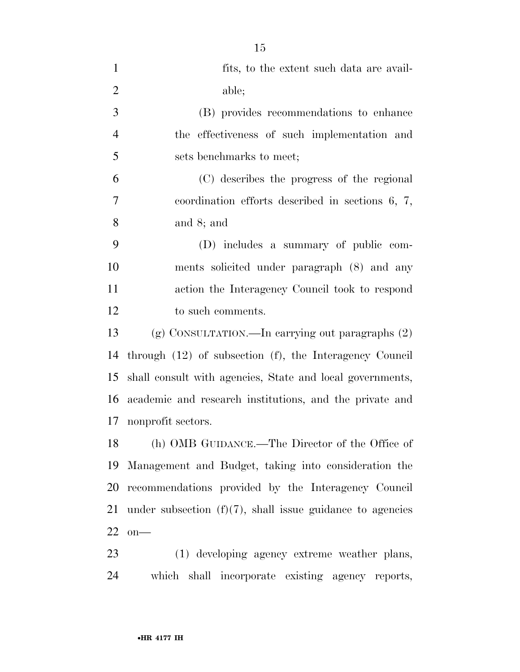| $\mathbf{1}$   | fits, to the extent such data are avail-                     |
|----------------|--------------------------------------------------------------|
| $\overline{2}$ | able;                                                        |
| 3              | (B) provides recommendations to enhance                      |
| $\overline{4}$ | the effectiveness of such implementation and                 |
| 5              | sets benchmarks to meet;                                     |
| 6              | (C) describes the progress of the regional                   |
| $\overline{7}$ | coordination efforts described in sections $6, 7,$           |
| 8              | and $8$ ; and                                                |
| 9              | (D) includes a summary of public com-                        |
| 10             | ments solicited under paragraph (8) and any                  |
| 11             | action the Interagency Council took to respond               |
| 12             | to such comments.                                            |
| 13             | (g) CONSULTATION.—In carrying out paragraphs $(2)$           |
| 14             | through $(12)$ of subsection $(f)$ , the Interagency Council |
| 15             | shall consult with agencies, State and local governments,    |
| 16             | academic and research institutions, and the private and      |
| 17             | nonprofit sectors.                                           |
| 18             | (h) OMB GUIDANCE.—The Director of the Office of              |
| 19             | Management and Budget, taking into consideration the         |
| 20             | recommendations provided by the Interagency Council          |
| 21             | under subsection $(f)(7)$ , shall issue guidance to agencies |
| 22             | $on$ —                                                       |
| 23             | (1) developing agency extreme weather plans,                 |

which shall incorporate existing agency reports,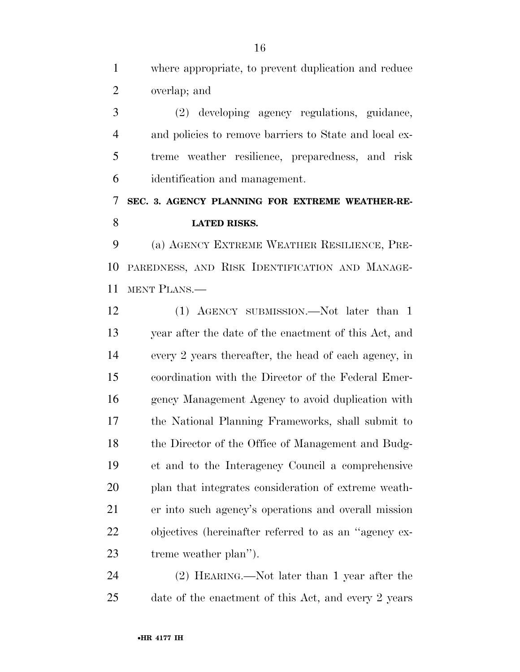where appropriate, to prevent duplication and reduce overlap; and

 (2) developing agency regulations, guidance, and policies to remove barriers to State and local ex- treme weather resilience, preparedness, and risk identification and management.

 **SEC. 3. AGENCY PLANNING FOR EXTREME WEATHER-RE-LATED RISKS.** 

 (a) AGENCY EXTREME WEATHER RESILIENCE, PRE- PAREDNESS, AND RISK IDENTIFICATION AND MANAGE-MENT PLANS.—

12 (1) AGENCY SUBMISSION.—Not later than 1 year after the date of the enactment of this Act, and every 2 years thereafter, the head of each agency, in coordination with the Director of the Federal Emer- gency Management Agency to avoid duplication with the National Planning Frameworks, shall submit to 18 the Director of the Office of Management and Budg- et and to the Interagency Council a comprehensive plan that integrates consideration of extreme weath- er into such agency's operations and overall mission objectives (hereinafter referred to as an ''agency ex-treme weather plan'').

 (2) HEARING.—Not later than 1 year after the date of the enactment of this Act, and every 2 years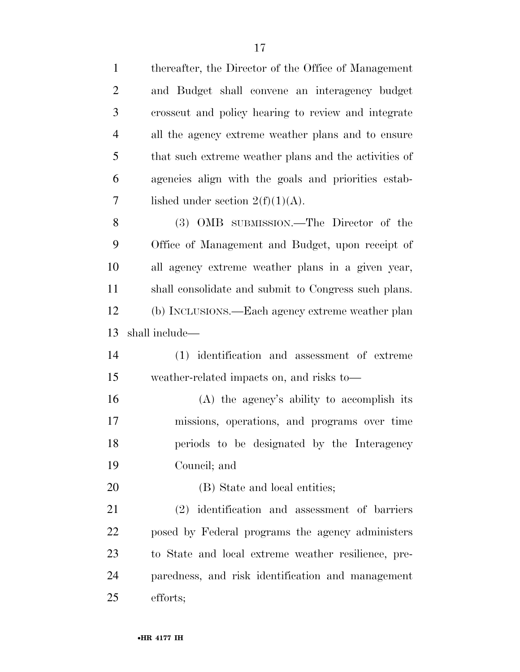| $\mathbf{1}$   | thereafter, the Director of the Office of Management  |
|----------------|-------------------------------------------------------|
| $\overline{2}$ | and Budget shall convene an interagency budget        |
| 3              | crosscut and policy hearing to review and integrate   |
| $\overline{4}$ | all the agency extreme weather plans and to ensure    |
| 5              | that such extreme weather plans and the activities of |
| 6              | agencies align with the goals and priorities estab-   |
| 7              | lished under section $2(f)(1)(A)$ .                   |
| $8\,$          | (3) OMB SUBMISSION.—The Director of the               |
| 9              | Office of Management and Budget, upon receipt of      |
| 10             | all agency extreme weather plans in a given year,     |
| 11             | shall consolidate and submit to Congress such plans.  |
| 12             | (b) INCLUSIONS.—Each agency extreme weather plan      |
| 13             | shall include—                                        |
| 14             | (1) identification and assessment of extreme          |
| 15             | weather-related impacts on, and risks to—             |
| 16             | (A) the agency's ability to accomplish its            |
| 17             | missions, operations, and programs over time          |
| 18             | periods to be designated by the Interagency           |
| 19             | Council; and                                          |
| 20             | (B) State and local entities;                         |
| 21             | (2) identification and assessment of barriers         |
| 22             | posed by Federal programs the agency administers      |
| 23             | to State and local extreme weather resilience, pre-   |
| 24             | paredness, and risk identification and management     |
| 25             | efforts;                                              |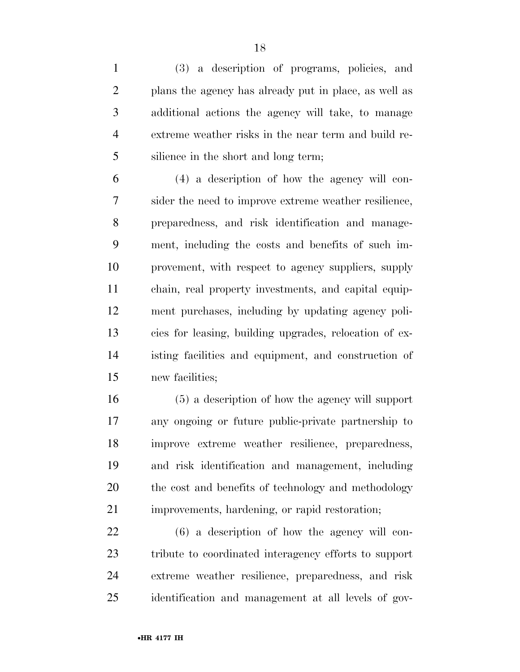(3) a description of programs, policies, and plans the agency has already put in place, as well as additional actions the agency will take, to manage extreme weather risks in the near term and build re-silience in the short and long term;

 (4) a description of how the agency will con- sider the need to improve extreme weather resilience, preparedness, and risk identification and manage- ment, including the costs and benefits of such im- provement, with respect to agency suppliers, supply chain, real property investments, and capital equip- ment purchases, including by updating agency poli- cies for leasing, building upgrades, relocation of ex- isting facilities and equipment, and construction of new facilities;

 (5) a description of how the agency will support any ongoing or future public-private partnership to improve extreme weather resilience, preparedness, and risk identification and management, including 20 the cost and benefits of technology and methodology improvements, hardening, or rapid restoration;

 (6) a description of how the agency will con- tribute to coordinated interagency efforts to support extreme weather resilience, preparedness, and risk identification and management at all levels of gov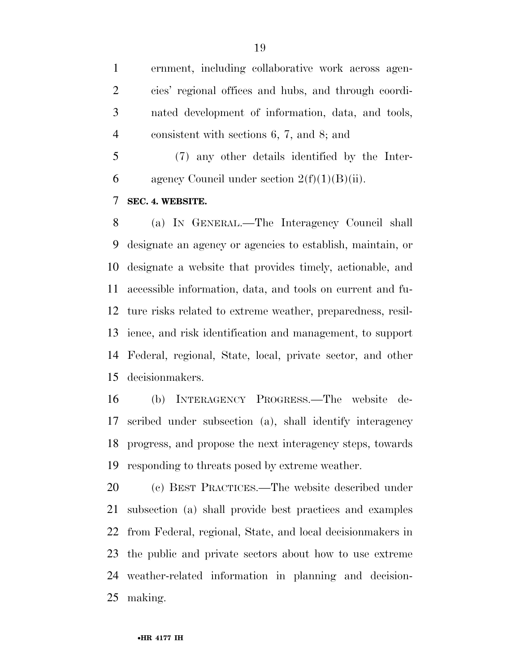ernment, including collaborative work across agen- cies' regional offices and hubs, and through coordi- nated development of information, data, and tools, consistent with sections 6, 7, and 8; and

 (7) any other details identified by the Inter-6 agency Council under section  $2(f)(1)(B)(ii)$ .

**SEC. 4. WEBSITE.** 

 (a) IN GENERAL.—The Interagency Council shall designate an agency or agencies to establish, maintain, or designate a website that provides timely, actionable, and accessible information, data, and tools on current and fu- ture risks related to extreme weather, preparedness, resil- ience, and risk identification and management, to support Federal, regional, State, local, private sector, and other decisionmakers.

 (b) INTERAGENCY PROGRESS.—The website de- scribed under subsection (a), shall identify interagency progress, and propose the next interagency steps, towards responding to threats posed by extreme weather.

 (c) BEST PRACTICES.—The website described under subsection (a) shall provide best practices and examples from Federal, regional, State, and local decisionmakers in the public and private sectors about how to use extreme weather-related information in planning and decision-making.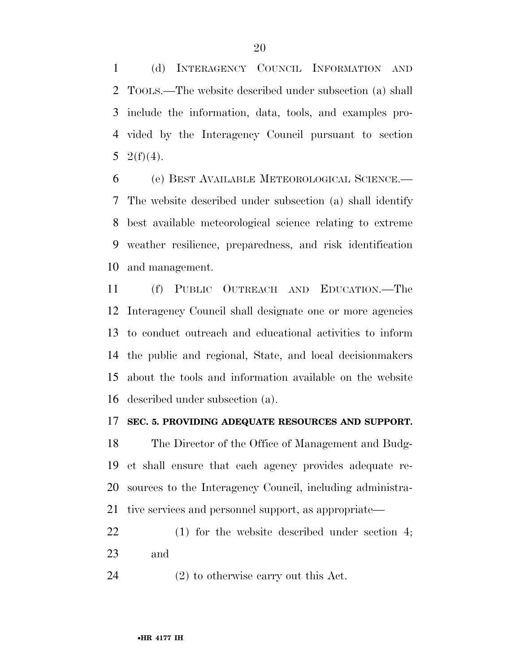(d) INTERAGENCY COUNCIL INFORMATION AND TOOLS.—The website described under subsection (a) shall include the information, data, tools, and examples pro- vided by the Interagency Council pursuant to section 5 2(f)(4).

 (e) BEST AVAILABLE METEOROLOGICAL SCIENCE.— The website described under subsection (a) shall identify best available meteorological science relating to extreme weather resilience, preparedness, and risk identification and management.

 (f) PUBLIC OUTREACH AND EDUCATION.—The Interagency Council shall designate one or more agencies to conduct outreach and educational activities to inform the public and regional, State, and local decisionmakers about the tools and information available on the website described under subsection (a).

#### **SEC. 5. PROVIDING ADEQUATE RESOURCES AND SUPPORT.**

 The Director of the Office of Management and Budg- et shall ensure that each agency provides adequate re- sources to the Interagency Council, including administra-tive services and personnel support, as appropriate—

- (1) for the website described under section 4; and
- (2) to otherwise carry out this Act.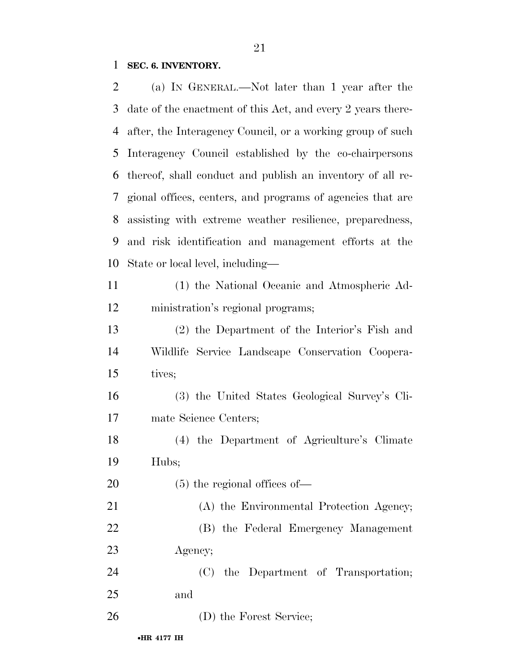# **SEC. 6. INVENTORY.**

| 2  | (a) IN GENERAL.—Not later than 1 year after the             |
|----|-------------------------------------------------------------|
| 3  | date of the enactment of this Act, and every 2 years there- |
| 4  | after, the Interagency Council, or a working group of such  |
| 5  | Interagency Council established by the co-chairpersons      |
| 6  | thereof, shall conduct and publish an inventory of all re-  |
| 7  | gional offices, centers, and programs of agencies that are  |
| 8  | assisting with extreme weather resilience, preparedness,    |
| 9  | and risk identification and management efforts at the       |
| 10 | State or local level, including—                            |
| 11 | (1) the National Oceanic and Atmospheric Ad-                |
| 12 | ministration's regional programs;                           |
| 13 | (2) the Department of the Interior's Fish and               |
| 14 | Wildlife Service Landscape Conservation Coopera-            |
| 15 | tives;                                                      |
| 16 | (3) the United States Geological Survey's Cli-              |
| 17 | mate Science Centers;                                       |
| 18 | (4) the Department of Agriculture's Climate                 |
| 19 | Hubs;                                                       |
| 20 | $(5)$ the regional offices of —                             |
| 21 | (A) the Environmental Protection Agency;                    |
| 22 | (B) the Federal Emergency Management                        |
| 23 | Agency;                                                     |
| 24 | (C) the Department of Transportation;                       |
| 25 | and                                                         |
| 26 | (D) the Forest Service;                                     |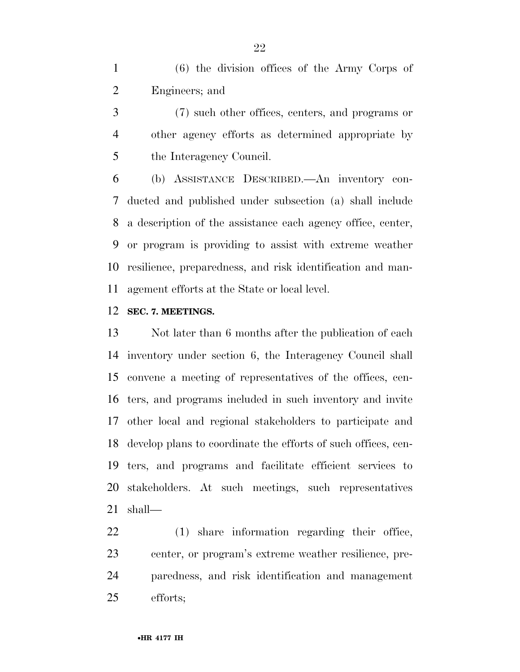(6) the division offices of the Army Corps of Engineers; and

 (7) such other offices, centers, and programs or other agency efforts as determined appropriate by the Interagency Council.

 (b) ASSISTANCE DESCRIBED.—An inventory con- ducted and published under subsection (a) shall include a description of the assistance each agency office, center, or program is providing to assist with extreme weather resilience, preparedness, and risk identification and man-agement efforts at the State or local level.

### **SEC. 7. MEETINGS.**

 Not later than 6 months after the publication of each inventory under section 6, the Interagency Council shall convene a meeting of representatives of the offices, cen- ters, and programs included in such inventory and invite other local and regional stakeholders to participate and develop plans to coordinate the efforts of such offices, cen- ters, and programs and facilitate efficient services to stakeholders. At such meetings, such representatives shall—

 (1) share information regarding their office, center, or program's extreme weather resilience, pre- paredness, and risk identification and management efforts;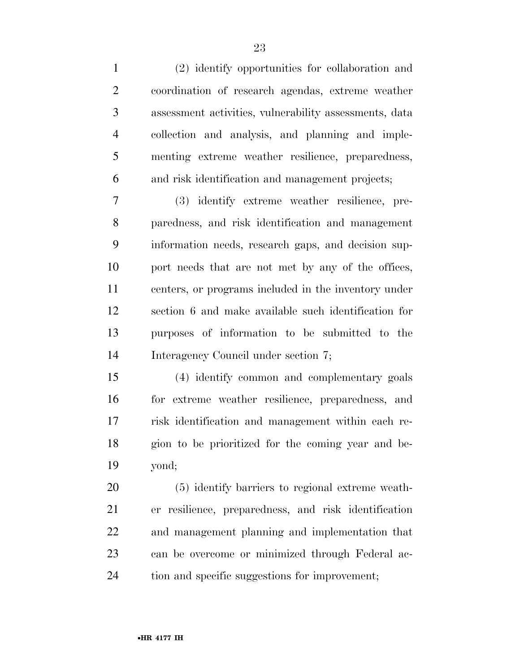(2) identify opportunities for collaboration and coordination of research agendas, extreme weather assessment activities, vulnerability assessments, data collection and analysis, and planning and imple- menting extreme weather resilience, preparedness, and risk identification and management projects;

 (3) identify extreme weather resilience, pre- paredness, and risk identification and management information needs, research gaps, and decision sup- port needs that are not met by any of the offices, centers, or programs included in the inventory under section 6 and make available such identification for purposes of information to be submitted to the Interagency Council under section 7;

 (4) identify common and complementary goals for extreme weather resilience, preparedness, and risk identification and management within each re- gion to be prioritized for the coming year and be-yond;

 (5) identify barriers to regional extreme weath- er resilience, preparedness, and risk identification and management planning and implementation that can be overcome or minimized through Federal ac-tion and specific suggestions for improvement;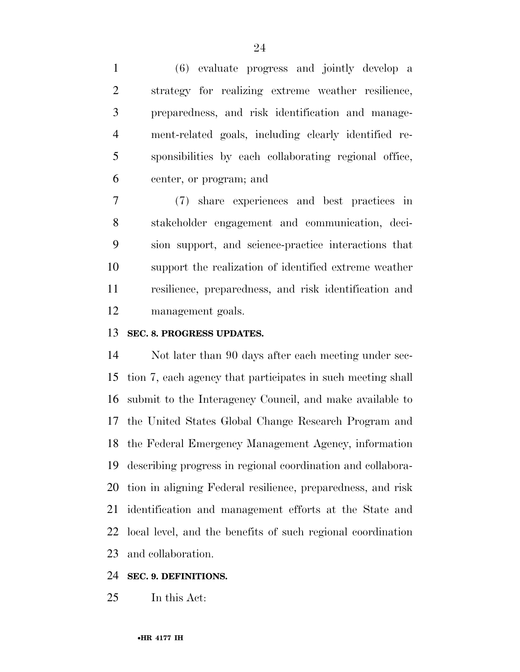(6) evaluate progress and jointly develop a strategy for realizing extreme weather resilience, preparedness, and risk identification and manage- ment-related goals, including clearly identified re- sponsibilities by each collaborating regional office, center, or program; and

 (7) share experiences and best practices in stakeholder engagement and communication, deci- sion support, and science-practice interactions that support the realization of identified extreme weather resilience, preparedness, and risk identification and management goals.

### **SEC. 8. PROGRESS UPDATES.**

 Not later than 90 days after each meeting under sec- tion 7, each agency that participates in such meeting shall submit to the Interagency Council, and make available to the United States Global Change Research Program and the Federal Emergency Management Agency, information describing progress in regional coordination and collabora- tion in aligning Federal resilience, preparedness, and risk identification and management efforts at the State and local level, and the benefits of such regional coordination and collaboration.

### **SEC. 9. DEFINITIONS.**

In this Act: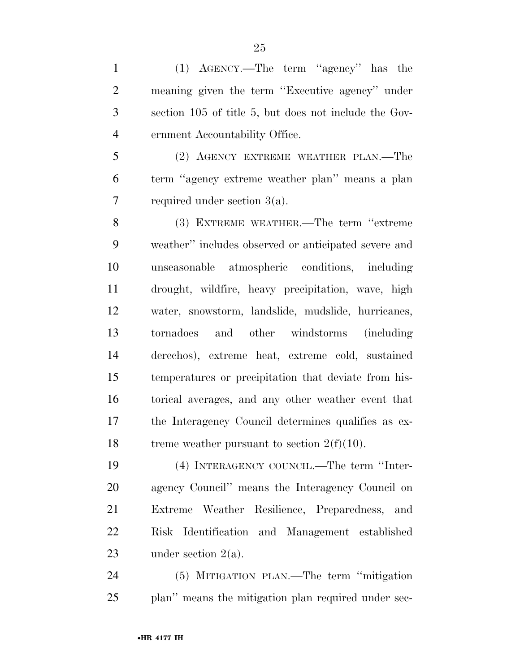(1) AGENCY.—The term ''agency'' has the meaning given the term ''Executive agency'' under section 105 of title 5, but does not include the Gov-ernment Accountability Office.

 (2) AGENCY EXTREME WEATHER PLAN.—The term ''agency extreme weather plan'' means a plan required under section 3(a).

 (3) EXTREME WEATHER.—The term ''extreme weather'' includes observed or anticipated severe and unseasonable atmospheric conditions, including drought, wildfire, heavy precipitation, wave, high water, snowstorm, landslide, mudslide, hurricanes, tornadoes and other windstorms (including derechos), extreme heat, extreme cold, sustained temperatures or precipitation that deviate from his- torical averages, and any other weather event that the Interagency Council determines qualifies as ex-18 treme weather pursuant to section  $2(f)(10)$ .

 (4) INTERAGENCY COUNCIL.—The term ''Inter- agency Council'' means the Interagency Council on Extreme Weather Resilience, Preparedness, and Risk Identification and Management established under section 2(a).

 (5) MITIGATION PLAN.—The term ''mitigation 25 plan'' means the mitigation plan required under sec-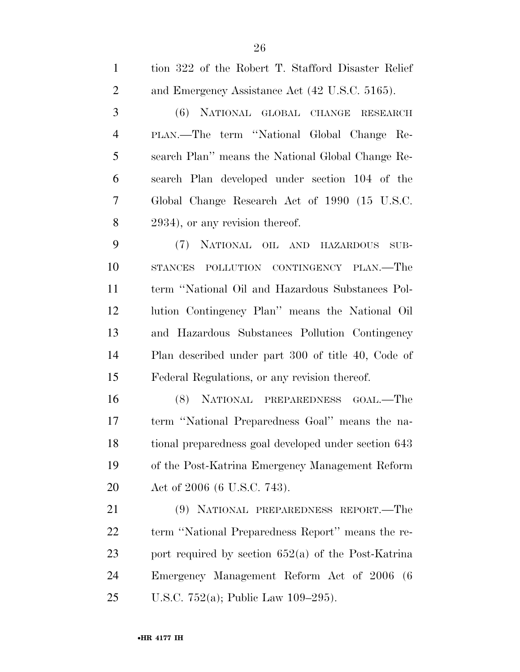| $\mathbf{1}$   | tion 322 of the Robert T. Stafford Disaster Relief    |
|----------------|-------------------------------------------------------|
| $\overline{2}$ | and Emergency Assistance Act (42 U.S.C. 5165).        |
| 3              | (6) NATIONAL GLOBAL CHANGE RESEARCH                   |
| $\overline{4}$ | PLAN.—The term "National Global Change Re-            |
| 5              | search Plan" means the National Global Change Re-     |
| 6              | search Plan developed under section 104 of the        |
| 7              | Global Change Research Act of 1990 (15 U.S.C.         |
| 8              | 2934), or any revision thereof.                       |
| 9              | (7) NATIONAL OIL AND HAZARDOUS<br>SUB-                |
| 10             | STANCES POLLUTION CONTINGENCY PLAN.—The               |
| 11             | term "National Oil and Hazardous Substances Pol-      |
| 12             | lution Contingency Plan" means the National Oil       |
| 13             | and Hazardous Substances Pollution Contingency        |
| 14             | Plan described under part 300 of title 40, Code of    |
| 15             | Federal Regulations, or any revision thereof.         |
| 16             | (8) NATIONAL PREPAREDNESS GOAL.—The                   |
| 17             | term "National Preparedness Goal" means the na-       |
| 18             | tional preparedness goal developed under section 643  |
| 19             | of the Post-Katrina Emergency Management Reform       |
| 20             | Act of 2006 (6 U.S.C. 743).                           |
| 21             | (9) NATIONAL PREPAREDNESS REPORT.—The                 |
| 22             | term "National Preparedness Report" means the re-     |
| 23             | port required by section $652(a)$ of the Post-Katrina |
| 24             | Emergency Management Reform Act of 2006 (6            |
| 25             | U.S.C. 752(a); Public Law $109-295$ ).                |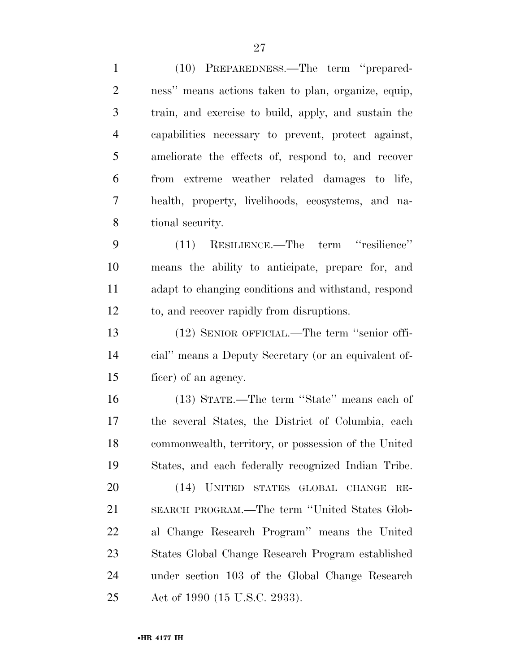| $\mathbf{1}$   | (10) PREPAREDNESS.—The term "prepared-               |
|----------------|------------------------------------------------------|
| $\overline{2}$ | ness" means actions taken to plan, organize, equip,  |
| 3              | train, and exercise to build, apply, and sustain the |
| $\overline{4}$ | capabilities necessary to prevent, protect against,  |
| 5              | ameliorate the effects of, respond to, and recover   |
| 6              | from extreme weather related damages to life,        |
| $\overline{7}$ | health, property, livelihoods, ecosystems, and na-   |
| 8              | tional security.                                     |
| 9              | (11) RESILIENCE.—The term "resilience"               |
| 10             | means the ability to anticipate, prepare for, and    |
| 11             | adapt to changing conditions and withstand, respond  |
| 12             | to, and recover rapidly from disruptions.            |
| 13             | (12) SENIOR OFFICIAL.—The term "senior offi-         |
| 14             | cial" means a Deputy Secretary (or an equivalent of- |
| 15             | ficer) of an agency.                                 |
| 16             | (13) STATE.—The term "State" means each of           |
| 17             | the several States, the District of Columbia, each   |
| 18             | commonwealth, territory, or possession of the United |
| 19             | States, and each federally recognized Indian Tribe.  |
| 20             | (14) UNITED STATES GLOBAL<br>CHANGE<br>$RE-$         |
| 21             | SEARCH PROGRAM.—The term "United States Glob-        |
| 22             | al Change Research Program" means the United         |
| 23             | States Global Change Research Program established    |
| 24             | under section 103 of the Global Change Research      |
| 25             | Act of 1990 (15 U.S.C. 2933).                        |